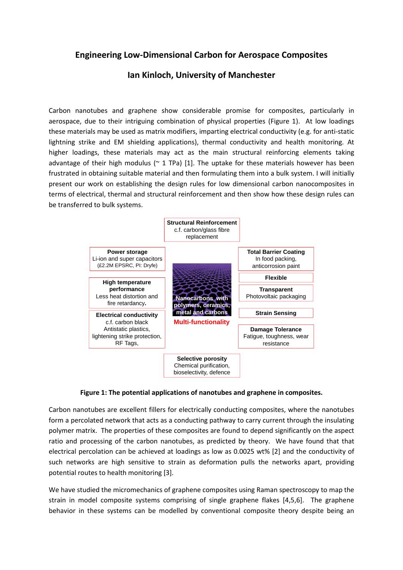## **Engineering Low-Dimensional Carbon for Aerospace Composites**

## **Ian Kinloch, University of Manchester**

Carbon nanotubes and graphene show considerable promise for composites, particularly in aerospace, due to their intriguing combination of physical properties (Figure 1). At low loadings these materials may be used as matrix modifiers, imparting electrical conductivity (e.g. for anti-static lightning strike and EM shielding applications), thermal conductivity and health monitoring. At higher loadings, these materials may act as the main structural reinforcing elements taking advantage of their high modulus ( $\approx$  1 TPa) [1]. The uptake for these materials however has been frustrated in obtaining suitable material and then formulating them into a bulk system. I will initially present our work on establishing the design rules for low dimensional carbon nanocomposites in terms of electrical, thermal and structural reinforcement and then show how these design rules can be transferred to bulk systems.



**Figure 1: The potential applications of nanotubes and graphene in composites.**

Carbon nanotubes are excellent fillers for electrically conducting composites, where the nanotubes form a percolated network that acts as a conducting pathway to carry current through the insulating polymer matrix. The properties of these composites are found to depend significantly on the aspect ratio and processing of the carbon nanotubes, as predicted by theory. We have found that that electrical percolation can be achieved at loadings as low as 0.0025 wt% [2] and the conductivity of such networks are high sensitive to strain as deformation pulls the networks apart, providing potential routes to health monitoring [3].

We have studied the micromechanics of graphene composites using Raman spectroscopy to map the strain in model composite systems comprising of single graphene flakes [4,5,6]. The graphene behavior in these systems can be modelled by conventional composite theory despite being an